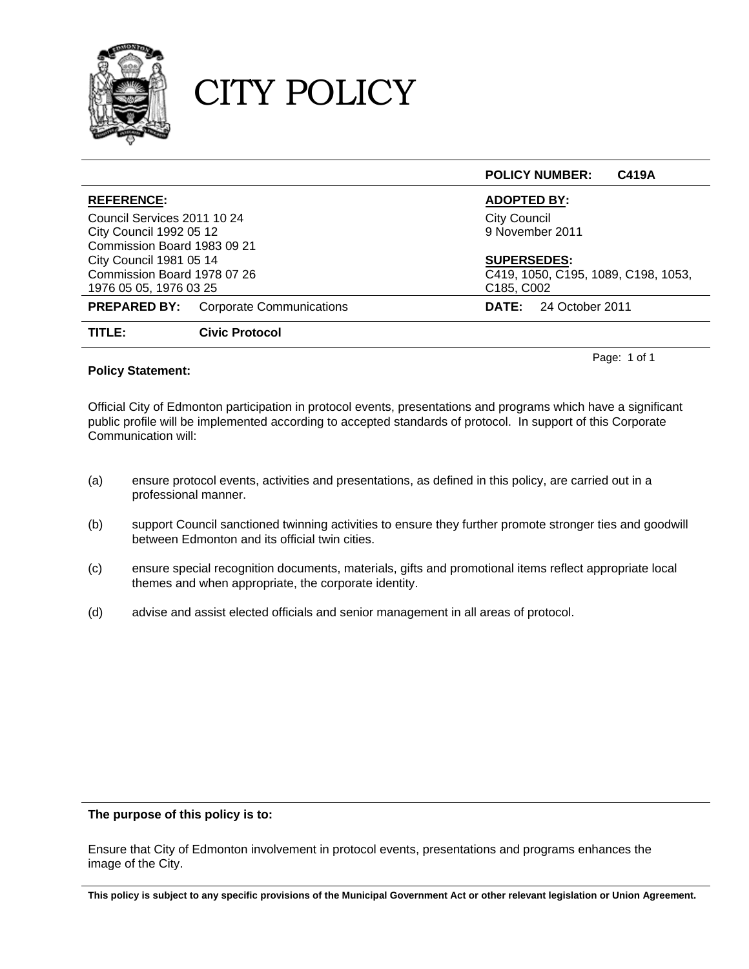

### CITY POLICY

|                                |                                 | <b>C419A</b><br><b>POLICY NUMBER:</b> |  |
|--------------------------------|---------------------------------|---------------------------------------|--|
| <b>REFERENCE:</b>              |                                 | <b>ADOPTED BY:</b>                    |  |
| Council Services 2011 10 24    |                                 | <b>City Council</b>                   |  |
| City Council 1992 05 12        |                                 | 9 November 2011                       |  |
| Commission Board 1983 09 21    |                                 |                                       |  |
| <b>City Council 1981 05 14</b> |                                 | <b>SUPERSEDES:</b>                    |  |
| Commission Board 1978 07 26    |                                 | C419, 1050, C195, 1089, C198, 1053,   |  |
| 1976 05 05, 1976 03 25         |                                 | C185, C002                            |  |
| <b>PREPARED BY:</b>            | <b>Corporate Communications</b> | 24 October 2011<br><b>DATE:</b>       |  |
| TITLE:                         | <b>Civic Protocol</b>           |                                       |  |

### **Policy Statement:**

Official City of Edmonton participation in protocol events, presentations and programs which have a significant public profile will be implemented according to accepted standards of protocol. In support of this Corporate Communication will:

Page: 1 of 1

- (a) ensure protocol events, activities and presentations, as defined in this policy, are carried out in a professional manner.
- (b) support Council sanctioned twinning activities to ensure they further promote stronger ties and goodwill between Edmonton and its official twin cities.
- (c) ensure special recognition documents, materials, gifts and promotional items reflect appropriate local themes and when appropriate, the corporate identity.
- (d) advise and assist elected officials and senior management in all areas of protocol.

### **The purpose of this policy is to:**

Ensure that City of Edmonton involvement in protocol events, presentations and programs enhances the image of the City.

**This policy is subject to any specific provisions of the Municipal Government Act or other relevant legislation or Union Agreement.**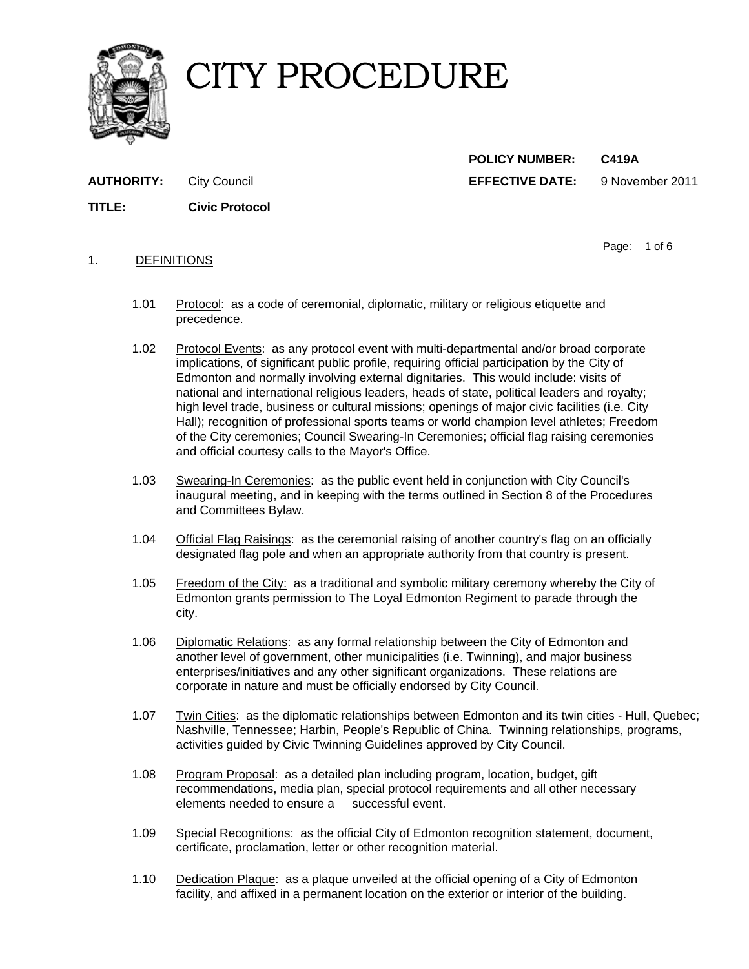

|                                |                       | <b>POLICY NUMBER:</b>  | C419A           |
|--------------------------------|-----------------------|------------------------|-----------------|
| <b>AUTHORITY:</b> City Council |                       | <b>EFFECTIVE DATE:</b> | 9 November 2011 |
| TITLE:                         | <b>Civic Protocol</b> |                        |                 |

### 1. DEFINITIONS

Page: 1 of [6](#page-6-0) 

- 1.01 Protocol: as a code of ceremonial, diplomatic, military or religious etiquette and precedence.
- 1.02 Protocol Events: as any protocol event with multi-departmental and/or broad corporate implications, of significant public profile, requiring official participation by the City of Edmonton and normally involving external dignitaries. This would include: visits of national and international religious leaders, heads of state, political leaders and royalty; high level trade, business or cultural missions; openings of major civic facilities (i.e. City Hall); recognition of professional sports teams or world champion level athletes; Freedom of the City ceremonies; Council Swearing-In Ceremonies; official flag raising ceremonies and official courtesy calls to the Mayor's Office.
- 1.03 Swearing-In Ceremonies: as the public event held in conjunction with City Council's inaugural meeting, and in keeping with the terms outlined in Section 8 of the Procedures and Committees Bylaw.
- 1.04 Official Flag Raisings: as the ceremonial raising of another country's flag on an officially designated flag pole and when an appropriate authority from that country is present.
- 1.05 Freedom of the City: as a traditional and symbolic military ceremony whereby the City of Edmonton grants permission to The Loyal Edmonton Regiment to parade through the city.
- 1.06 Diplomatic Relations: as any formal relationship between the City of Edmonton and another level of government, other municipalities (i.e. Twinning), and major business enterprises/initiatives and any other significant organizations. These relations are corporate in nature and must be officially endorsed by City Council.
- 1.07 Twin Cities: as the diplomatic relationships between Edmonton and its twin cities Hull, Quebec; Nashville, Tennessee; Harbin, People's Republic of China. Twinning relationships, programs, activities guided by Civic Twinning Guidelines approved by City Council.
- 1.08 Program Proposal: as a detailed plan including program, location, budget, gift recommendations, media plan, special protocol requirements and all other necessary elements needed to ensure a successful event.
- 1.09 Special Recognitions: as the official City of Edmonton recognition statement, document, certificate, proclamation, letter or other recognition material.
- 1.10 Dedication Plaque: as a plaque unveiled at the official opening of a City of Edmonton facility, and affixed in a permanent location on the exterior or interior of the building.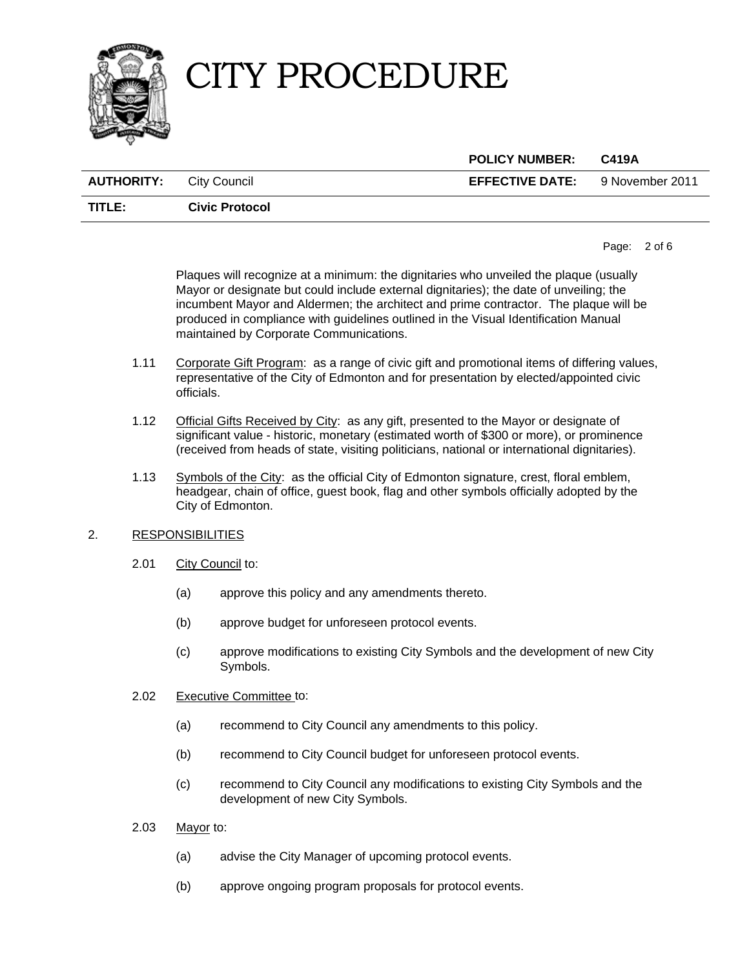

|                                |                       | <b>POLICY NUMBER:</b>                  | C419A |
|--------------------------------|-----------------------|----------------------------------------|-------|
| <b>AUTHORITY:</b> City Council |                       | <b>EFFECTIVE DATE:</b> 9 November 2011 |       |
| TITLE:                         | <b>Civic Protocol</b> |                                        |       |

Page: 2 of [6](#page-6-0) 

 Plaques will recognize at a minimum: the dignitaries who unveiled the plaque (usually Mayor or designate but could include external dignitaries); the date of unveiling; the incumbent Mayor and Aldermen; the architect and prime contractor. The plaque will be produced in compliance with guidelines outlined in the Visual Identification Manual maintained by Corporate Communications.

- 1.11 Corporate Gift Program: as a range of civic gift and promotional items of differing values, representative of the City of Edmonton and for presentation by elected/appointed civic officials.
- 1.12 **Official Gifts Received by City:** as any gift, presented to the Mayor or designate of significant value - historic, monetary (estimated worth of \$300 or more), or prominence (received from heads of state, visiting politicians, national or international dignitaries).
- 1.13 Symbols of the City: as the official City of Edmonton signature, crest, floral emblem, headgear, chain of office, guest book, flag and other symbols officially adopted by the City of Edmonton.

### 2. RESPONSIBILITIES

- 2.01 City Council to:
	- (a) approve this policy and any amendments thereto.
	- (b) approve budget for unforeseen protocol events.
	- (c) approve modifications to existing City Symbols and the development of new City Symbols.
- 2.02 Executive Committee to:
	- (a) recommend to City Council any amendments to this policy.
	- (b) recommend to City Council budget for unforeseen protocol events.
	- (c) recommend to City Council any modifications to existing City Symbols and the development of new City Symbols.
- 2.03 Mayor to:
	- (a) advise the City Manager of upcoming protocol events.
	- (b) approve ongoing program proposals for protocol events.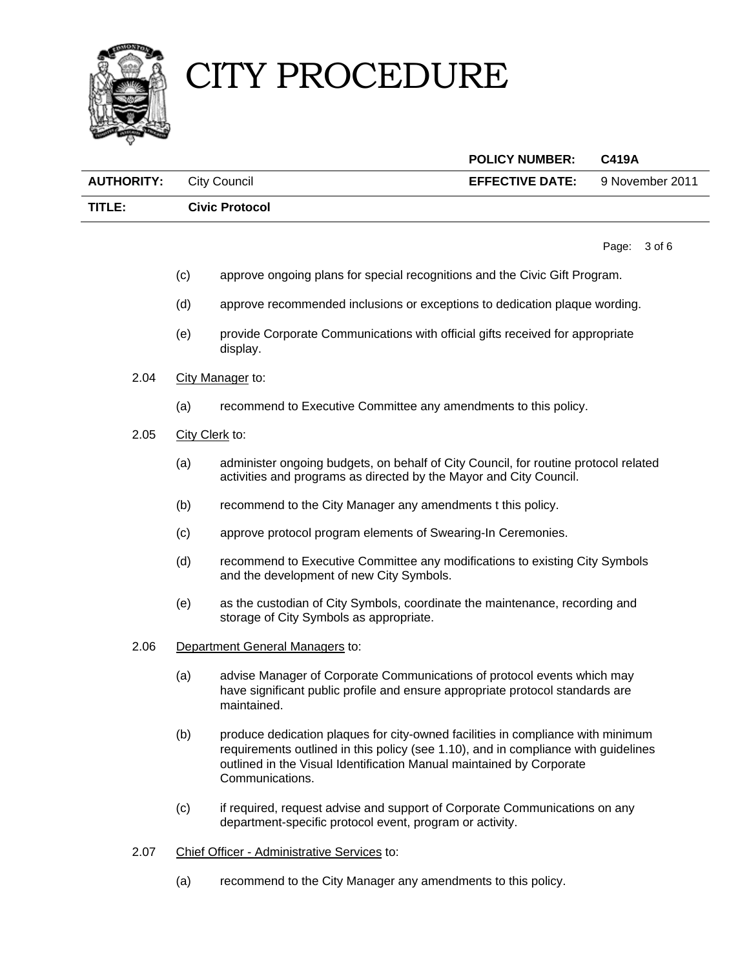



|                                |                       | <b>POLICY NUMBER:</b>  | C419A           |
|--------------------------------|-----------------------|------------------------|-----------------|
| <b>AUTHORITY:</b> City Council |                       | <b>EFFECTIVE DATE:</b> | 9 November 2011 |
| TITLE:                         | <b>Civic Protocol</b> |                        |                 |

Page: 3 of [6](#page-6-0) 

- (c) approve ongoing plans for special recognitions and the Civic Gift Program.
- (d) approve recommended inclusions or exceptions to dedication plaque wording.
- (e) provide Corporate Communications with official gifts received for appropriate display.
- 2.04 City Manager to:
	- (a) recommend to Executive Committee any amendments to this policy.
- 2.05 City Clerk to:
	- (a) administer ongoing budgets, on behalf of City Council, for routine protocol related activities and programs as directed by the Mayor and City Council.
	- (b) recommend to the City Manager any amendments t this policy.
	- (c) approve protocol program elements of Swearing-In Ceremonies.
	- (d) recommend to Executive Committee any modifications to existing City Symbols and the development of new City Symbols.
	- (e) as the custodian of City Symbols, coordinate the maintenance, recording and storage of City Symbols as appropriate.
- 2.06 Department General Managers to:
	- (a) advise Manager of Corporate Communications of protocol events which may have significant public profile and ensure appropriate protocol standards are maintained.
	- (b) produce dedication plaques for city-owned facilities in compliance with minimum requirements outlined in this policy (see 1.10), and in compliance with guidelines outlined in the Visual Identification Manual maintained by Corporate Communications.
	- (c) if required, request advise and support of Corporate Communications on any department-specific protocol event, program or activity.
- 2.07 Chief Officer Administrative Services to:
	- (a) recommend to the City Manager any amendments to this policy.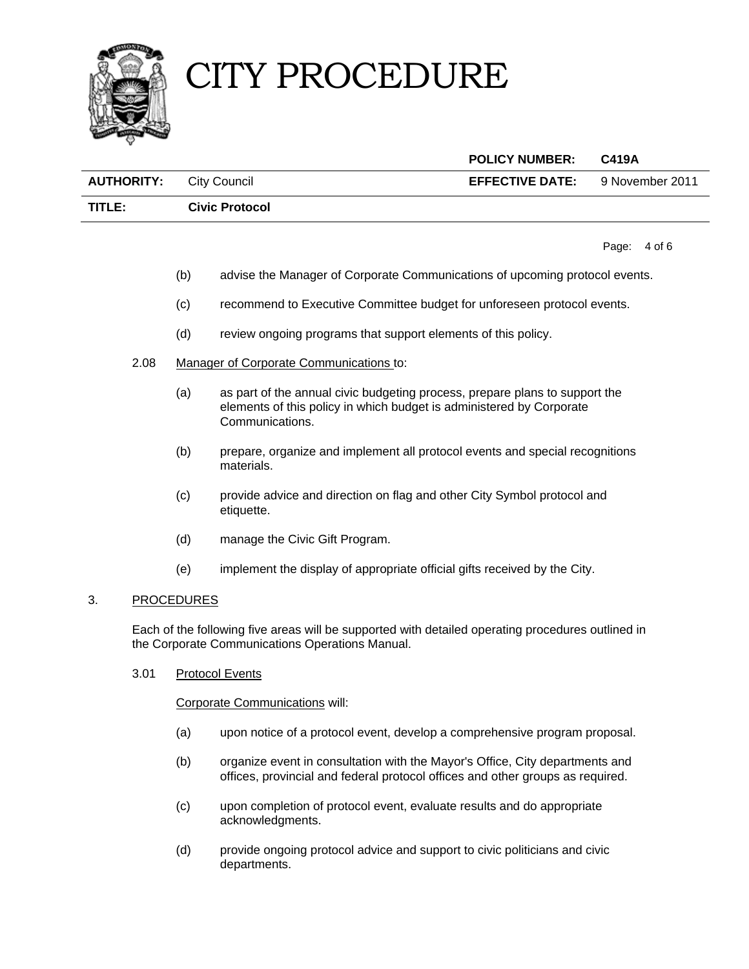



 **POLICY NUMBER: C419A AUTHORITY:** City Council **EFFECTIVE DATE:** 9 November 2011 **TITLE: Civic Protocol**

Page: 4 of [6](#page-6-0) 

- (b) advise the Manager of Corporate Communications of upcoming protocol events.
- (c) recommend to Executive Committee budget for unforeseen protocol events.
- (d) review ongoing programs that support elements of this policy.
- 2.08 Manager of Corporate Communications to:
	- (a) as part of the annual civic budgeting process, prepare plans to support the elements of this policy in which budget is administered by Corporate Communications.
	- (b) prepare, organize and implement all protocol events and special recognitions materials.
	- (c) provide advice and direction on flag and other City Symbol protocol and etiquette.
	- (d) manage the Civic Gift Program.
	- (e) implement the display of appropriate official gifts received by the City.

### 3. PROCEDURES

 Each of the following five areas will be supported with detailed operating procedures outlined in the Corporate Communications Operations Manual.

3.01 Protocol Events

Corporate Communications will:

- (a) upon notice of a protocol event, develop a comprehensive program proposal.
- (b) organize event in consultation with the Mayor's Office, City departments and offices, provincial and federal protocol offices and other groups as required.
- (c) upon completion of protocol event, evaluate results and do appropriate acknowledgments.
- (d) provide ongoing protocol advice and support to civic politicians and civic departments.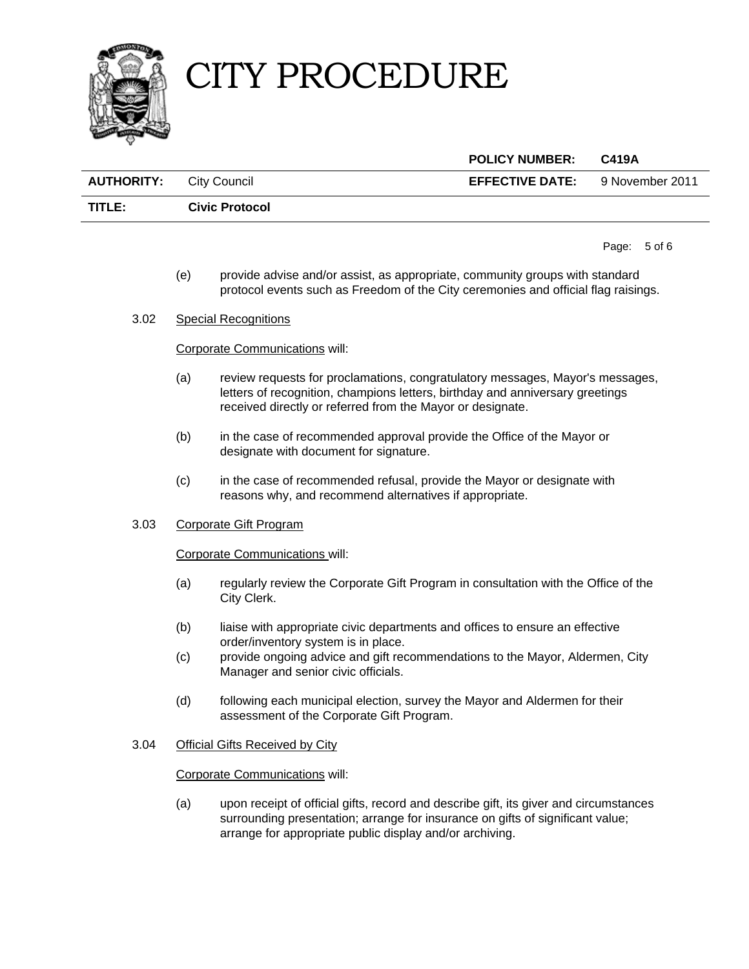

| <b>EFFECTIVE DATE:</b> 9 November 2011 |
|----------------------------------------|
|                                        |
|                                        |

Page: 5 of [6](#page-6-0) 

- (e) provide advise and/or assist, as appropriate, community groups with standard protocol events such as Freedom of the City ceremonies and official flag raisings.
- 3.02 Special Recognitions

### Corporate Communications will:

- (a) review requests for proclamations, congratulatory messages, Mayor's messages, letters of recognition, champions letters, birthday and anniversary greetings received directly or referred from the Mayor or designate.
- (b) in the case of recommended approval provide the Office of the Mayor or designate with document for signature.
- (c) in the case of recommended refusal, provide the Mayor or designate with reasons why, and recommend alternatives if appropriate.

### 3.03 Corporate Gift Program

### Corporate Communications will:

- (a) regularly review the Corporate Gift Program in consultation with the Office of the City Clerk.
- (b) liaise with appropriate civic departments and offices to ensure an effective order/inventory system is in place.
- (c) provide ongoing advice and gift recommendations to the Mayor, Aldermen, City Manager and senior civic officials.
- (d) following each municipal election, survey the Mayor and Aldermen for their assessment of the Corporate Gift Program.

### 3.04 Official Gifts Received by City

### Corporate Communications will:

 (a) upon receipt of official gifts, record and describe gift, its giver and circumstances surrounding presentation; arrange for insurance on gifts of significant value; arrange for appropriate public display and/or archiving.